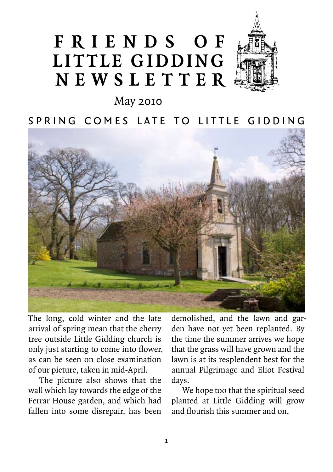# **F r i e n d s o f Little Gidding N ews l etter**



May 2010

SPRING COMES LATE TO LITTLE GIDDING



The long, cold winter and the late arrival of spring mean that the cherry tree outside Little Gidding church is only just starting to come into flower, as can be seen on close examination of our picture, taken in mid-April.

The picture also shows that the wall which lay towards the edge of the Ferrar House garden, and which had fallen into some disrepair, has been

demolished, and the lawn and garden have not yet been replanted. By the time the summer arrives we hope that the grass will have grown and the lawn is at its resplendent best for the annual Pilgrimage and Eliot Festival days.

We hope too that the spiritual seed planted at Little Gidding will grow and flourish this summer and on.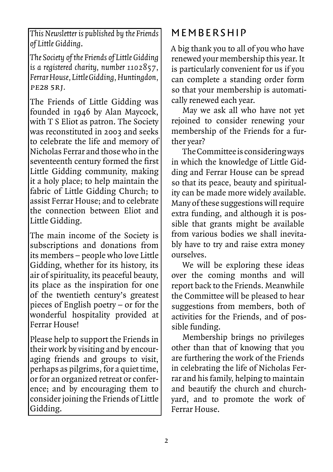*This Newsletter is published by the Friends of Little Gidding*.

*The Society of the Friends of Little Gidding is a registered charity, number 1102857, Ferrar House, Little Gidding, Huntingdon,*  pe28 5rj*.*

The Friends of Little Gidding was founded in 1946 by Alan Maycock, with T S Eliot as patron. The Society was reconstituted in 2002 and seeks to celebrate the life and memory of Nicholas Ferrar and those who in the seventeenth century formed the first Little Gidding community, making it a holy place; to help maintain the fabric of Little Gidding Church; to assist Ferrar House; and to celebrate the connection between Eliot and Little Gidding.

The main income of the Society is subscriptions and donations from its members – people who love Little Gidding, whether for its history, its air of spirituality, its peaceful beauty, its place as the inspiration for one of the twentieth century's greatest pieces of English poetry – or for the wonderful hospitality provided at Ferrar House!

Please help to support the Friends in their work by visiting and by encouraging friends and groups to visit, perhaps as pilgrims, for a quiet time, or for an organized retreat or conference; and by encouraging them to consider joining the Friends of Little Gidding.

# **MEMBERSHIP**

A big thank you to all of you who have renewed your membership this year. It is particularly convenient for us if you can complete a standing order form so that your membership is automatically renewed each year.

May we ask all who have not yet rejoined to consider renewing your membership of the Friends for a further year?

The Committee is considering ways in which the knowledge of Little Gidding and Ferrar House can be spread so that its peace, beauty and spirituality can be made more widely available. Many of these suggestions will require extra funding, and although it is possible that grants might be available from various bodies we shall inevitably have to try and raise extra money ourselves.

We will be exploring these ideas over the coming months and will report back to the Friends. Meanwhile the Committee will be pleased to hear suggestions from members, both of activities for the Friends, and of possible funding.

Membership brings no privileges other than that of knowing that you are furthering the work of the Friends in celebrating the life of Nicholas Ferrar and his family, helping to maintain and beautify the church and churchyard, and to promote the work of Ferrar House.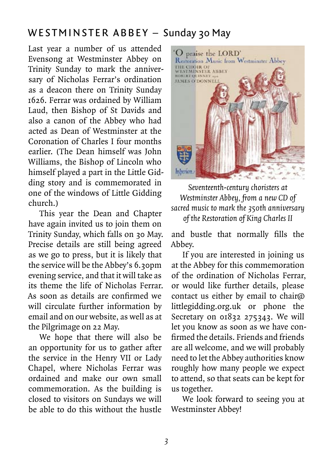## WESTMINSTER ABBEY – Sunday 30 May

Last year a number of us attended Evensong at Westminster Abbey on Trinity Sunday to mark the anniversary of Nicholas Ferrar's ordination as a deacon there on Trinity Sunday 1626. Ferrar was ordained by William Laud, then Bishop of St Davids and also a canon of the Abbey who had acted as Dean of Westminster at the Coronation of Charles I four months earlier. (The Dean himself was John Williams, the Bishop of Lincoln who himself played a part in the Little Gidding story and is commemorated in one of the windows of Little Gidding church.)

This year the Dean and Chapter have again invited us to join them on Trinity Sunday, which falls on 30 May. Precise details are still being agreed as we go to press, but it is likely that the service will be the Abbey's 6.30pm evening service, and that it will take as its theme the life of Nicholas Ferrar. As soon as details are confirmed we will circulate further information by email and on our website, as well as at the Pilgrimage on 22 May.

We hope that there will also be an opportunity for us to gather after the service in the Henry VII or Lady Chapel, where Nicholas Ferrar was ordained and make our own small commemoration. As the building is closed to visitors on Sundays we will be able to do this without the hustle



*Seventeenth-century choristers at Westminster Abbey, from a new CD of sacred music to mark the 350th anniversary of the Restoration of King Charles II*

and bustle that normally fills the Abbey.

If you are interested in joining us at the Abbey for this commemoration of the ordination of Nicholas Ferrar, or would like further details, please contact us either by email to chair@ littlegidding.org.uk or phone the Secretary on 01832 275343. We will let you know as soon as we have confirmed the details. Friends and friends are all welcome, and we will probably need to let the Abbey authorities know roughly how many people we expect to attend, so that seats can be kept for us together.

We look forward to seeing you at Westminster Abbey!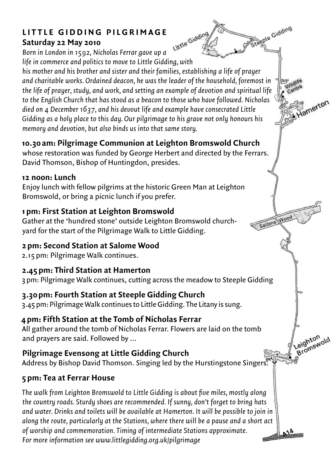### **LITTLE GIDDING PILGRIMAGE Saturday 22 May 2010**

Steeple Gidding Little Gidding *Born in London in 1592, Nicholas Ferrar gave up a life in commerce and politics to move to Little Gidding, with his mother and his brother and sister and their families, establishing a life of prayer and charitable works. Ordained deacon, he was the leader of the household, foremost in the life of prayer, study, and work, and setting an example of devotion and spiritual life to the English Church that has stood as a beacon to those who have followed. Nicholas died on 4 December 1637, and his devout life and example have consecrated Little Gidding as a holy place to this day. Our pilgrimage to his grave not only honours his memory and devotion, but also binds us into that same story.*

Wildlife

Salome Wood

Hamerton

Leighton

### **10.30 am: Pilgrimage Communion at Leighton Bromswold Church**

whose restoration was funded by George Herbert and directed by the Ferrars. David Thomson, Bishop of Huntingdon, presides.

#### **12 noon: Lunch**

enjoy lunch with fellow pilgrims at the historic green man at Leighton bromswold, or bring a picnic lunch if you prefer.

### **1 pm: First Station at Leighton Bromswold**

gather at the 'hundred stone' outside Leighton bromswold churchyard for the start of the Pilgrimage Walk to Little Gidding.

### **2 pm: Second Station at Salome Wood**

2.15 pm: pilgrimage Walk continues.

### **2.45 pm: Third Station at Hamerton**

3 pm: pilgrimage Walk continues, cutting across the meadow to Steeple gidding

### **3.30 pm: Fourth Station at Steeple Gidding Church**

3.45 pm: pilgrimage Walk continues to Little gidding. the Litany is sung.

### **4 pm: Fifth Station at the Tomb of Nicholas Ferrar**

all gather around the tomb of nicholas Ferrar. Flowers are laid on the tomb and prayers are said. Followed by …

### **Pilgrimage Evensong at Little Gidding Church**

Address by Bishop David Thomson. Singing led by the Hurstingstone Singers. *Wittle Gidding Church*<br>Address by Bishop David Thomson. Singing led by the Hurstingstone Singers.

### **5 pm: Tea at Ferrar House**

*The walk from Leighton Bromswold to Little Gidding is about five miles, mostly along the country roads. Sturdy shoes are recommended. If sunny, don't forget to bring hats and water. Drinks and toilets will be available at Hamerton. It will be possible to join in along the route, particularly at the Stations, where there will be a pause and a short act of worship and commemoration. Timing of intermediate Stations approximate. For more information see www.littlegidding.org.uk/pilgrimage*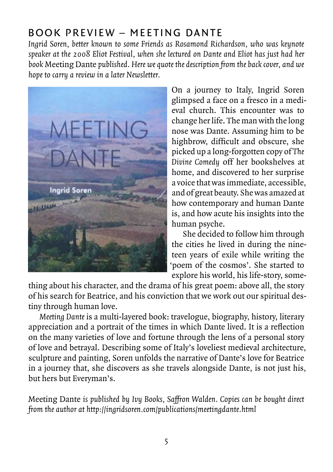# Book preview – Meeting Dante

*Ingrid Soren, better known to some Friends as Rosamond Richardson, who was keynote speaker at the 2008 Eliot Festival, when she lectured on Dante and Eliot has just had her book* Meeting Dante *published. Here we quote the description from the back cover, and we hope to carry a review in a later Newsletter.*



On a journey to Italy, Ingrid Soren glimpsed a face on a fresco in a medieval church. This encounter was to change her life. The man with the long nose was Dante. Assuming him to be highbrow, difficult and obscure, she picked up a long-forgotten copy of *The Divine Comedy* off her bookshelves at home, and discovered to her surprise a voice that was immediate, accessible, and of great beauty. She was amazed at how contemporary and human Dante is, and how acute his insights into the human psyche.

She decided to follow him through the cities he lived in during the nineteen years of exile while writing the 'poem of the cosmos'. She started to explore his world, his life-story, some-

thing about his character, and the drama of his great poem: above all, the story of his search for Beatrice, and his conviction that we work out our spiritual destiny through human love.

*Meeting Dante* is a multi-layered book: travelogue, biography, history, literary appreciation and a portrait of the times in which Dante lived. It is a reflection on the many varieties of love and fortune through the lens of a personal story of love and betrayal. Describing some of Italy's loveliest medieval architecture, sculpture and painting, Soren unfolds the narrative of Dante's love for Beatrice in a journey that, she discovers as she travels alongside Dante, is not just his, but hers but Everyman's.

Meeting Dante *is published by Ivy Books, Saffron Walden. Copies can be bought direct from the author at http://ingridsoren.com/publications/meetingdante.html*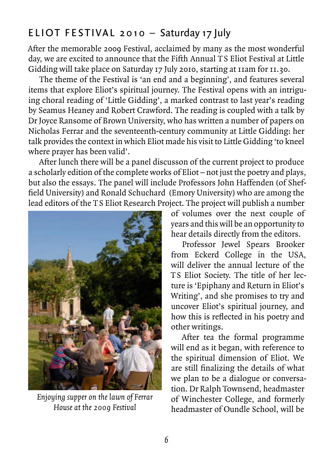# ELIOT FESTIVAL 2010 – Saturday 17 July

After the memorable 2009 Festival, acclaimed by many as the most wonderful day, we are excited to announce that the Fifth Annual TS Eliot Festival at Little Gidding will take place on Saturday 17 July 2010, starting at 11am for 11.30.

The theme of the Festival is 'an end and a beginning', and features several items that explore Eliot's spiritual journey. The Festival opens with an intriguing choral reading of 'Little Gidding', a marked contrast to last year's reading by Seamus Heaney and Robert Crawford. The reading is coupled with a talk by Dr Joyce Ransome of Brown University, who has written a number of papers on Nicholas Ferrar and the seventeenth-century community at Little Gidding: her talk provides the context in which Eliot made his visit to Little Gidding 'to kneel where prayer has been valid'.

After lunch there will be a panel discusson of the current project to produce a scholarly edition of the complete works of Eliot – not just the poetry and plays, but also the essays. The panel will include Professors John Haffenden (of Sheffield University) and Ronald Schuchard (Emory University) who are among the lead editors of the TS Eliot Research Project. The project will publish a number



*Enjoying supper on the lawn of Ferrar House at the 2009 Festival*

of volumes over the next couple of years and this will be an opportunity to hear details directly from the editors.

Professor Jewel Spears Brooker from Eckerd College in the USA, will deliver the annual lecture of the TS Eliot Society. The title of her lecture is 'Epiphany and Return in Eliot's Writing', and she promises to try and uncover Eliot's spiritual journey, and how this is reflected in his poetry and other writings.

After tea the formal programme will end as it began, with reference to the spiritual dimension of Eliot. We are still finalizing the details of what we plan to be a dialogue or conversation. Dr Ralph Townsend, headmaster of Winchester College, and formerly headmaster of Oundle School, will be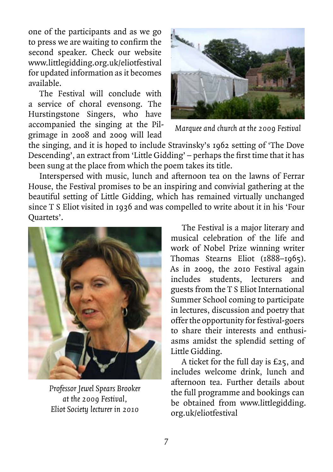one of the participants and as we go to press we are waiting to confirm the second speaker. Check our website www.littlegidding.org.uk/eliotfestival for updated information as it becomes available.

The Festival will conclude with a service of choral evensong. The Hurstingstone Singers, who have accompanied the singing at the Pilgrimage in 2008 and 2009 will lead



*Marquee and church at the 2009 Festival*

the singing, and it is hoped to include Stravinsky's 1962 setting of 'The Dove Descending', an extract from 'Little Gidding' – perhaps the first time that it has been sung at the place from which the poem takes its title.

Interspersed with music, lunch and afternoon tea on the lawns of Ferrar House, the Festival promises to be an inspiring and convivial gathering at the beautiful setting of Little Gidding, which has remained virtually unchanged since T S Eliot visited in 1936 and was compelled to write about it in his 'Four Quartets'.



*Professor Jewel Spears Brooker at the 2009 Festival, Eliot Society lecturer in 2010*

The Festival is a major literary and musical celebration of the life and work of Nobel Prize winning writer Thomas Stearns Eliot (1888–1965). As in 2009, the 2010 Festival again includes students, lecturers and guests from the T S Eliot International Summer School coming to participate in lectures, discussion and poetry that offer the opportunity for festival-goers to share their interests and enthusiasms amidst the splendid setting of Little Gidding.

A ticket for the full day is £25, and includes welcome drink, lunch and afternoon tea. Further details about the full programme and bookings can be obtained from www.littlegidding. org.uk/eliotfestival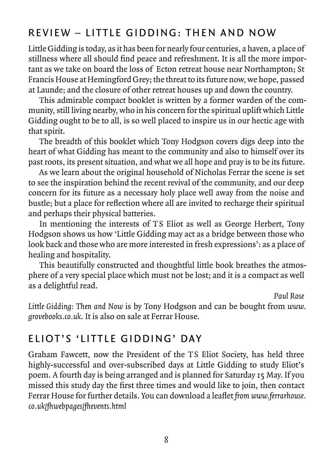# REVIEW – LITTLE GIDDING: THEN AND NOW

Little Gidding is today, as it has been for nearly four centuries, a haven, a place of stillness where all should find peace and refreshment. It is all the more important as we take on board the loss of Ecton retreat house near Northampton; St Francis House at Hemingford Grey; the threat to its future now, we hope, passed at Launde; and the closure of other retreat houses up and down the country.

This admirable compact booklet is written by a former warden of the community, still living nearby, who in his concern for the spiritual uplift which Little Gidding ought to be to all, is so well placed to inspire us in our hectic age with that spirit.

The breadth of this booklet which Tony Hodgson covers digs deep into the heart of what Gidding has meant to the community and also to himself over its past roots, its present situation, and what we all hope and pray is to be its future.

As we learn about the original household of Nicholas Ferrar the scene is set to see the inspiration behind the recent revival of the community, and our deep concern for its future as a necessary holy place well away from the noise and bustle; but a place for reflection where all are invited to recharge their spiritual and perhaps their physical batteries.

In mentioning the interests of TS Eliot as well as George Herbert, Tony Hodgson shows us how 'Little Gidding may act as a bridge between those who look back and those who are more interested in fresh expressions': as a place of healing and hospitality.

This beautifully constructed and thoughtful little book breathes the atmosphere of a very special place which must not be lost; and it is a compact as well as a delightful read.

*Paul Rose*

*Little Gidding: Then and Now* is by Tony Hodgson and can be bought from *www. grovebooks.co.uk*. It is also on sale at Ferrar House.

### ELIOT'S 'LITTLE GIDDING' DAY

Graham Fawcett, now the President of the TS Eliot Society, has held three highly-successful and over-subscribed days at Little Gidding to study Eliot's poem. A fourth day is being arranged and is planned for Saturday 15 May. If you missed this study day the first three times and would like to join, then contact Ferrar House for further details. You can download a leaflet *from www.ferrarhouse. co.uk/fhwebpages/fhevents.html*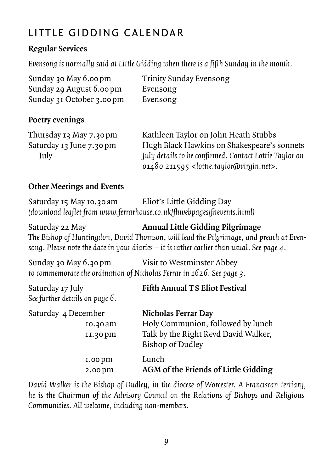# LITTLE GIDDING CALENDAR

#### **Regular Services**

*Evensong is normally said at Little Gidding when there is a fifth Sunday in the month.*

| Sunday 30 May 6.00 pm     | <b>Trinity Sunday Evensong</b> |
|---------------------------|--------------------------------|
| Sunday 29 August 6.00 pm  | Evensong                       |
| Sunday 31 October 3.00 pm | Evensong                       |

#### **Poetry evenings**

| Thursday 13 May 7.30 pm  | Kathleen Taylor on John Heath Stubbs                                |
|--------------------------|---------------------------------------------------------------------|
| Saturday 13 June 7.30 pm | Hugh Black Hawkins on Shakespeare's sonnets                         |
| July                     | July details to be confirmed. Contact Lottie Taylor on              |
|                          | 01480 211595 <lottie.taylor@virgin.net>.</lottie.taylor@virgin.net> |

#### **Other Meetings and Events**

Saturday 15 May 10.30am Eliot's Little Gidding Day *(download leaflet from www.ferrarhouse.co.uk/fhwebpages/fhevents.html)*

Saturday 22 May **Annual Little Gidding Pilgrimage** *The Bishop of Huntingdon, David Thomson, will lead the Pilgrimage, and preach at Evensong. Please note the date in your diaries – it is rather earlier than usual. See page 4.*

Sunday 30 May 6.30pm Visit to Westminster Abbey *to commemorate the ordination of Nicholas Ferrar in 1626. See page 3.*

| Saturday 17 July<br>See further details on page 6. | <b>Fifth Annual TS Eliot Festival</b>                                                                                       |
|----------------------------------------------------|-----------------------------------------------------------------------------------------------------------------------------|
| Saturday 4 December<br>10.30 am<br>$II.30$ pm      | <b>Nicholas Ferrar Day</b><br>Holy Communion, followed by lunch<br>Talk by the Right Revd David Walker,<br>Bishop of Dudley |
| 1.00 <sub>pm</sub><br>2.00 pm                      | Lunch<br>AGM of the Friends of Little Gidding                                                                               |

*David Walker is the Bishop of Dudley, in the diocese of Worcester. A Franciscan tertiary, he is the Chairman of the Advisory Council on the Relations of Bishops and Religious Communities. All welcome, including non-members.*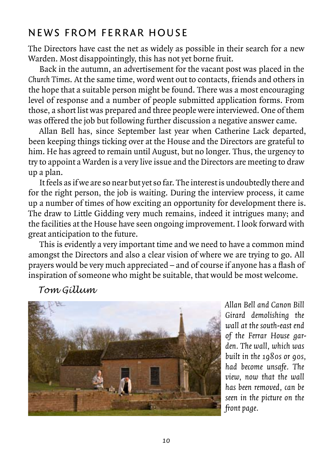### NEWS FROM FERRAR HOUSE

The Directors have cast the net as widely as possible in their search for a new Warden. Most disappointingly, this has not yet borne fruit.

Back in the autumn, an advertisement for the vacant post was placed in the *Church Times*. At the same time, word went out to contacts, friends and others in the hope that a suitable person might be found. There was a most encouraging level of response and a number of people submitted application forms. From those, a short list was prepared and three people were interviewed. One of them was offered the job but following further discussion a negative answer came.

Allan Bell has, since September last year when Catherine Lack departed, been keeping things ticking over at the House and the Directors are grateful to him. He has agreed to remain until August, but no longer. Thus, the urgency to try to appoint a Warden is a very live issue and the Directors are meeting to draw up a plan.

It feels as if we are so near but yet so far. The interest is undoubtedly there and for the right person, the job is waiting. During the interview process, it came up a number of times of how exciting an opportunity for development there is. The draw to Little Gidding very much remains, indeed it intrigues many; and the facilities at the House have seen ongoing improvement. I look forward with great anticipation to the future.

This is evidently a very important time and we need to have a common mind amongst the Directors and also a clear vision of where we are trying to go. All prayers would be very much appreciated – and of course if anyone has a flash of inspiration of someone who might be suitable, that would be most welcome.

### *Tom Gillum*



*Allan Bell and Canon Bill Girard demolishing the wall at the south-east end of the Ferrar House garden. The wall, which was built in the 1980s or 90s, had become unsafe. The view, now that the wall has been removed, can be seen in the picture on the front page.*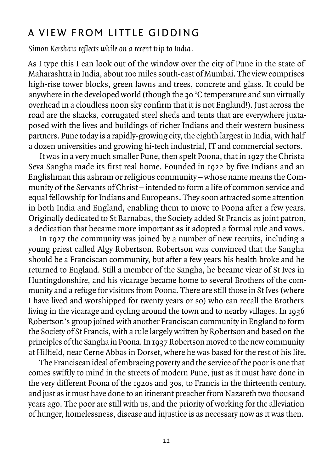### A VIFW FROM LITTLE GIDDING

*Simon Kershaw reflects while on a recent trip to India.*

As I type this I can look out of the window over the city of Pune in the state of Maharashtra in India, about 100 miles south-east of Mumbai. The view comprises high-rise tower blocks, green lawns and trees, concrete and glass. It could be anywhere in the developed world (though the 30 °C temperature and sun virtually overhead in a cloudless noon sky confirm that it is not England!). Just across the road are the shacks, corrugated steel sheds and tents that are everywhere juxtaposed with the lives and buildings of richer Indians and their western business partners. Pune today is a rapidly-growing city, the eighth largest in India, with half a dozen universities and growing hi-tech industrial, IT and commercial sectors.

It was in a very much smaller Pune, then spelt Poona, that in 1927 the Christa Seva Sangha made its first real home. Founded in 1922 by five Indians and an Englishman this ashram or religious community – whose name means the Community of the Servants of Christ – intended to form a life of common service and equal fellowship for Indians and Europeans. They soon attracted some attention in both India and England, enabling them to move to Poona after a few years. Originally dedicated to St Barnabas, the Society added St Francis as joint patron, a dedication that became more important as it adopted a formal rule and vows.

In 1927 the community was joined by a number of new recruits, including a young priest called Algy Robertson. Robertson was convinced that the Sangha should be a Franciscan community, but after a few years his health broke and he returned to England. Still a member of the Sangha, he became vicar of St Ives in Huntingdonshire, and his vicarage became home to several Brothers of the community and a refuge for visitors from Poona. There are still those in St Ives (where I have lived and worshipped for twenty years or so) who can recall the Brothers living in the vicarage and cycling around the town and to nearby villages. In 1936 Robertson's group joined with another Franciscan community in England to form the Society of St Francis, with a rule largely written by Robertson and based on the principles of the Sangha in Poona. In 1937 Robertson moved to the new community at Hilfield, near Cerne Abbas in Dorset, where he was based for the rest of his life.

The Franciscan ideal of embracing poverty and the service of the poor is one that comes swiftly to mind in the streets of modern Pune, just as it must have done in the very different Poona of the 1920s and 30s, to Francis in the thirteenth century, and just as it must have done to an itinerant preacher from Nazareth two thousand years ago. The poor are still with us, and the priority of working for the alleviation of hunger, homelessness, disease and injustice is as necessary now as it was then.